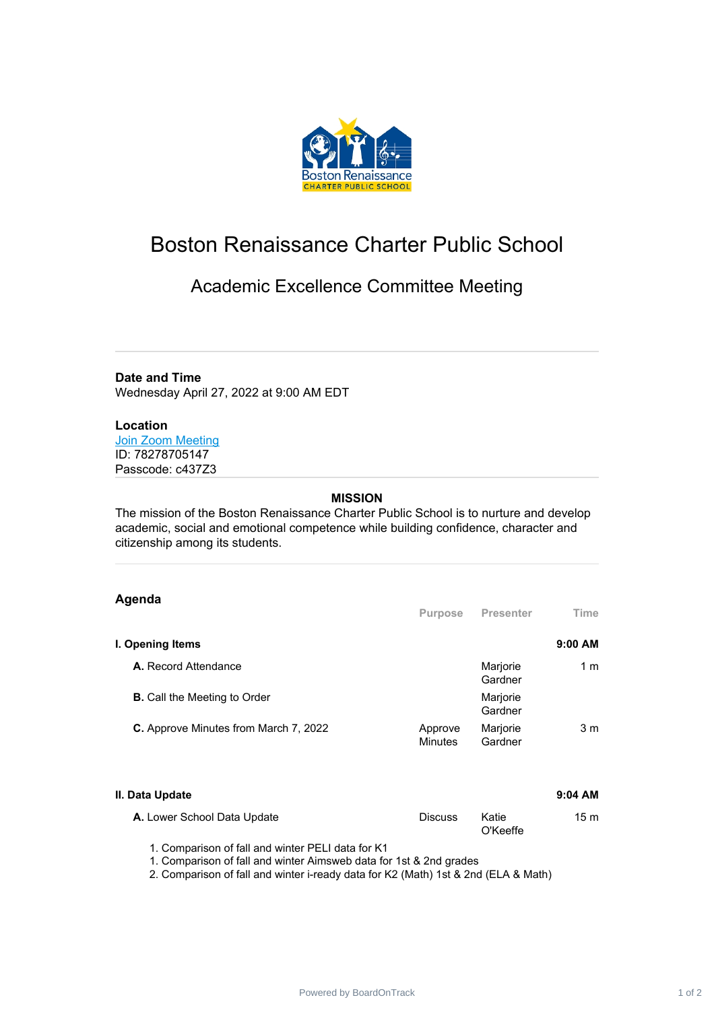

# Boston Renaissance Charter Public School

# Academic Excellence Committee Meeting

**Date and Time** Wednesday April 27, 2022 at 9:00 AM EDT

## **Location**

Join Zoom [Meeting](https://www.google.com/url?q=https://us04web.zoom.us/j/78278705147?pwd%3Duj_ZGykahjT8kIgAiRJagSGtzG-p4H.1&sa=D&source=calendar&ust=1650482198860524&usg=AOvVaw2FaQebw-7D8dVru-ZAgJRP) ID: 78278705147 Passcode: c437Z3

#### **MISSION**

The mission of the Boston Renaissance Charter Public School is to nurture and develop academic, social and emotional competence while building confidence, character and citizenship among its students.

## **Agenda**

| <b>Purpose</b>            | <b>Presenter</b>    | Time           |
|---------------------------|---------------------|----------------|
|                           |                     | $9:00$ AM      |
|                           | Marjorie<br>Gardner | 1 m            |
|                           | Marjorie<br>Gardner |                |
| Approve<br><b>Minutes</b> | Marjorie<br>Gardner | 3 <sub>m</sub> |
|                           |                     |                |

#### **II. Data Update 9:04 AM**

#### **A.** Lower School Data Update **Discuss** Katie O'Keeffe 15 m

1. Comparison of fall and winter PELI data for K1

1. Comparison of fall and winter Aimsweb data for 1st & 2nd grades

2. Comparison of fall and winter i-ready data for K2 (Math) 1st & 2nd (ELA & Math)